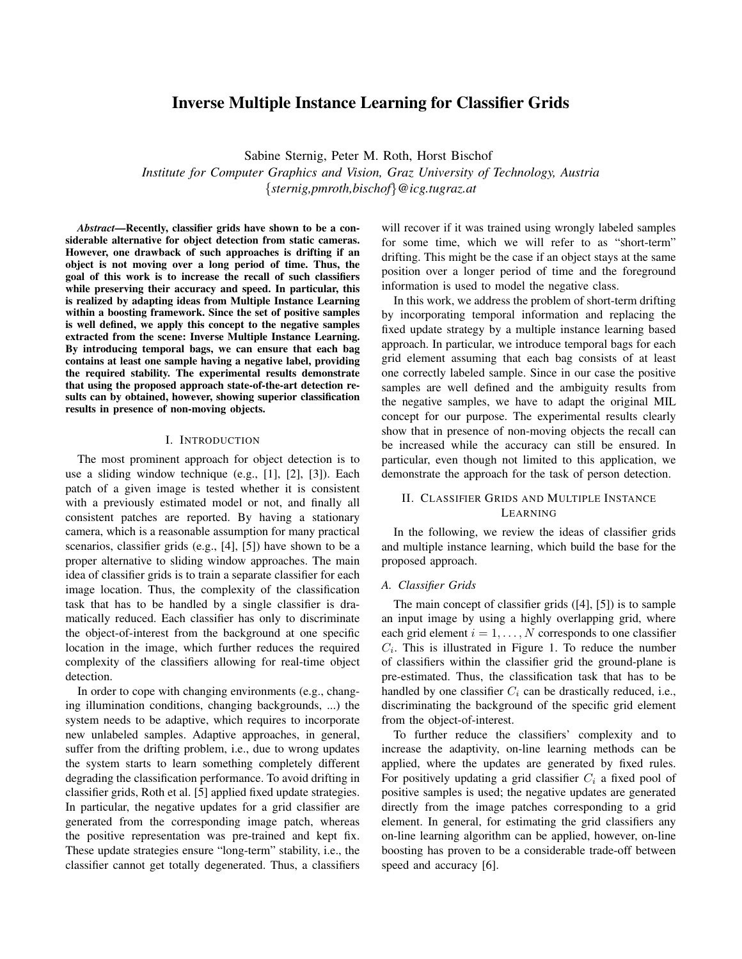# Inverse Multiple Instance Learning for Classifier Grids

Sabine Sternig, Peter M. Roth, Horst Bischof *Institute for Computer Graphics and Vision, Graz University of Technology, Austria* {*sternig,pmroth,bischof*}*@icg.tugraz.at*

*Abstract*—Recently, classifier grids have shown to be a considerable alternative for object detection from static cameras. However, one drawback of such approaches is drifting if an object is not moving over a long period of time. Thus, the goal of this work is to increase the recall of such classifiers while preserving their accuracy and speed. In particular, this is realized by adapting ideas from Multiple Instance Learning within a boosting framework. Since the set of positive samples is well defined, we apply this concept to the negative samples extracted from the scene: Inverse Multiple Instance Learning. By introducing temporal bags, we can ensure that each bag contains at least one sample having a negative label, providing the required stability. The experimental results demonstrate that using the proposed approach state-of-the-art detection results can by obtained, however, showing superior classification results in presence of non-moving objects.

#### I. INTRODUCTION

The most prominent approach for object detection is to use a sliding window technique (e.g., [1], [2], [3]). Each patch of a given image is tested whether it is consistent with a previously estimated model or not, and finally all consistent patches are reported. By having a stationary camera, which is a reasonable assumption for many practical scenarios, classifier grids (e.g., [4], [5]) have shown to be a proper alternative to sliding window approaches. The main idea of classifier grids is to train a separate classifier for each image location. Thus, the complexity of the classification task that has to be handled by a single classifier is dramatically reduced. Each classifier has only to discriminate the object-of-interest from the background at one specific location in the image, which further reduces the required complexity of the classifiers allowing for real-time object detection.

In order to cope with changing environments (e.g., changing illumination conditions, changing backgrounds, ...) the system needs to be adaptive, which requires to incorporate new unlabeled samples. Adaptive approaches, in general, suffer from the drifting problem, i.e., due to wrong updates the system starts to learn something completely different degrading the classification performance. To avoid drifting in classifier grids, Roth et al. [5] applied fixed update strategies. In particular, the negative updates for a grid classifier are generated from the corresponding image patch, whereas the positive representation was pre-trained and kept fix. These update strategies ensure "long-term" stability, i.e., the classifier cannot get totally degenerated. Thus, a classifiers will recover if it was trained using wrongly labeled samples for some time, which we will refer to as "short-term" drifting. This might be the case if an object stays at the same position over a longer period of time and the foreground information is used to model the negative class.

In this work, we address the problem of short-term drifting by incorporating temporal information and replacing the fixed update strategy by a multiple instance learning based approach. In particular, we introduce temporal bags for each grid element assuming that each bag consists of at least one correctly labeled sample. Since in our case the positive samples are well defined and the ambiguity results from the negative samples, we have to adapt the original MIL concept for our purpose. The experimental results clearly show that in presence of non-moving objects the recall can be increased while the accuracy can still be ensured. In particular, even though not limited to this application, we demonstrate the approach for the task of person detection.

## II. CLASSIFIER GRIDS AND MULTIPLE INSTANCE LEARNING

In the following, we review the ideas of classifier grids and multiple instance learning, which build the base for the proposed approach.

#### *A. Classifier Grids*

The main concept of classifier grids ([4], [5]) is to sample an input image by using a highly overlapping grid, where each grid element  $i = 1, \ldots, N$  corresponds to one classifier  $C_i$ . This is illustrated in Figure 1. To reduce the number of classifiers within the classifier grid the ground-plane is pre-estimated. Thus, the classification task that has to be handled by one classifier  $C_i$  can be drastically reduced, i.e., discriminating the background of the specific grid element from the object-of-interest.

To further reduce the classifiers' complexity and to increase the adaptivity, on-line learning methods can be applied, where the updates are generated by fixed rules. For positively updating a grid classifier  $C_i$  a fixed pool of positive samples is used; the negative updates are generated directly from the image patches corresponding to a grid element. In general, for estimating the grid classifiers any on-line learning algorithm can be applied, however, on-line boosting has proven to be a considerable trade-off between speed and accuracy [6].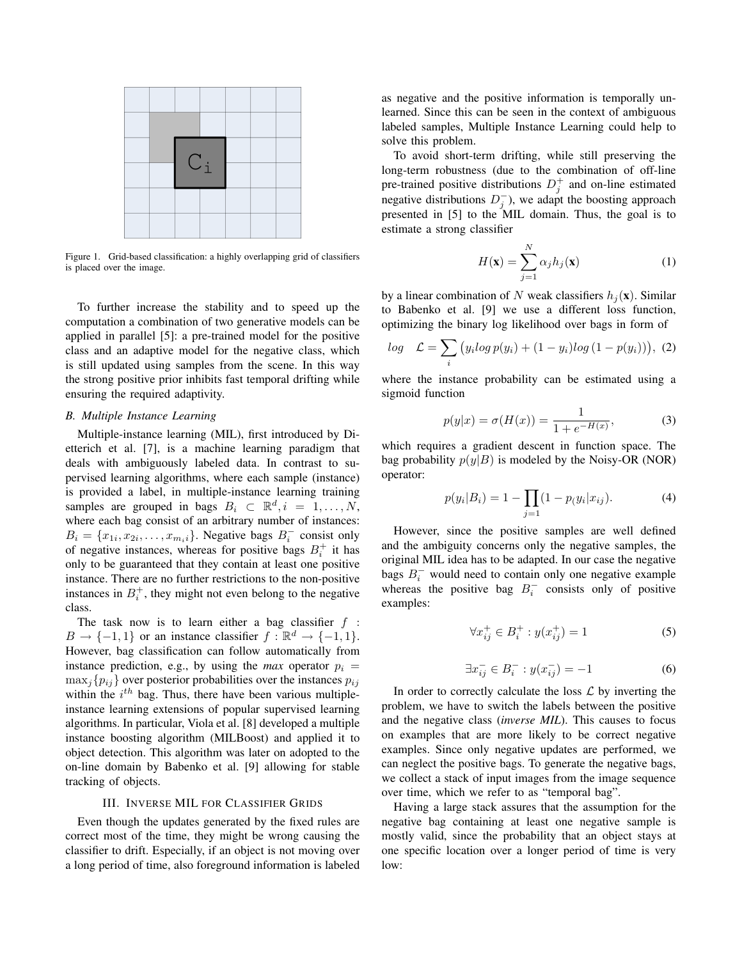

Figure 1. Grid-based classification: a highly overlapping grid of classifiers is placed over the image.

To further increase the stability and to speed up the computation a combination of two generative models can be applied in parallel [5]: a pre-trained model for the positive class and an adaptive model for the negative class, which is still updated using samples from the scene. In this way the strong positive prior inhibits fast temporal drifting while ensuring the required adaptivity.

#### *B. Multiple Instance Learning*

Multiple-instance learning (MIL), first introduced by Dietterich et al. [7], is a machine learning paradigm that deals with ambiguously labeled data. In contrast to supervised learning algorithms, where each sample (instance) is provided a label, in multiple-instance learning training samples are grouped in bags  $B_i \subset \mathbb{R}^d, i = 1, \ldots, N$ , where each bag consist of an arbitrary number of instances:  $B_i = \{x_{1i}, x_{2i}, \dots, x_{m_i i}\}.$  Negative bags  $B_i^-$  consist only of negative instances, whereas for positive bags  $B_i^+$  it has only to be guaranteed that they contain at least one positive instance. There are no further restrictions to the non-positive instances in  $B_i^+$ , they might not even belong to the negative class.

The task now is to learn either a bag classifier  $f$ :  $B \to \{-1, 1\}$  or an instance classifier  $f : \mathbb{R}^d \to \{-1, 1\}.$ However, bag classification can follow automatically from instance prediction, e.g., by using the *max* operator  $p_i$  =  $\max_i \{p_{ij}\}\$  over posterior probabilities over the instances  $p_{ij}$ within the  $i^{th}$  bag. Thus, there have been various multipleinstance learning extensions of popular supervised learning algorithms. In particular, Viola et al. [8] developed a multiple instance boosting algorithm (MILBoost) and applied it to object detection. This algorithm was later on adopted to the on-line domain by Babenko et al. [9] allowing for stable tracking of objects.

#### III. INVERSE MIL FOR CLASSIFIER GRIDS

Even though the updates generated by the fixed rules are correct most of the time, they might be wrong causing the classifier to drift. Especially, if an object is not moving over a long period of time, also foreground information is labeled as negative and the positive information is temporally unlearned. Since this can be seen in the context of ambiguous labeled samples, Multiple Instance Learning could help to solve this problem.

To avoid short-term drifting, while still preserving the long-term robustness (due to the combination of off-line pre-trained positive distributions  $D_j^+$  and on-line estimated negative distributions  $D_j^-$ , we adapt the boosting approach presented in [5] to the MIL domain. Thus, the goal is to estimate a strong classifier

$$
H(\mathbf{x}) = \sum_{j=1}^{N} \alpha_j h_j(\mathbf{x})
$$
 (1)

by a linear combination of N weak classifiers  $h_i(\mathbf{x})$ . Similar to Babenko et al. [9] we use a different loss function, optimizing the binary log likelihood over bags in form of

$$
log \quad \mathcal{L} = \sum_{i} (y_i log p(y_i) + (1 - y_i) log (1 - p(y_i))), (2)
$$

where the instance probability can be estimated using a sigmoid function

$$
p(y|x) = \sigma(H(x)) = \frac{1}{1 + e^{-H(x)}},
$$
\n(3)

which requires a gradient descent in function space. The bag probability  $p(y|B)$  is modeled by the Noisy-OR (NOR) operator:

$$
p(y_i|B_i) = 1 - \prod_{j=1} (1 - p(y_i|x_{ij})).
$$
 (4)

However, since the positive samples are well defined and the ambiguity concerns only the negative samples, the original MIL idea has to be adapted. In our case the negative bags  $B_i^-$  would need to contain only one negative example whereas the positive bag  $B_i^-$  consists only of positive examples:

$$
\forall x_{ij}^+ \in B_i^+ : y(x_{ij}^+) = 1 \tag{5}
$$

$$
\exists x_{ij}^- \in B_i^- : y(x_{ij}^-) = -1 \tag{6}
$$

In order to correctly calculate the loss  $\mathcal L$  by inverting the problem, we have to switch the labels between the positive and the negative class (*inverse MIL*). This causes to focus on examples that are more likely to be correct negative examples. Since only negative updates are performed, we can neglect the positive bags. To generate the negative bags, we collect a stack of input images from the image sequence over time, which we refer to as "temporal bag".

Having a large stack assures that the assumption for the negative bag containing at least one negative sample is mostly valid, since the probability that an object stays at one specific location over a longer period of time is very low: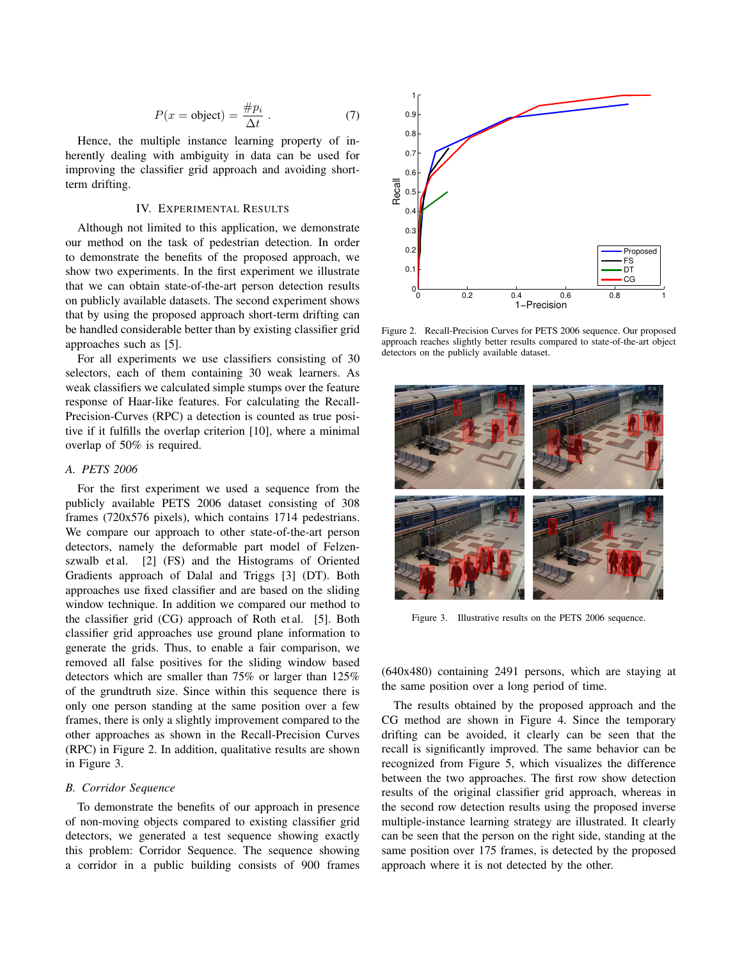$$
P(x = \text{object}) = \frac{\#p_i}{\Delta t} \ . \tag{7}
$$

Hence, the multiple instance learning property of inherently dealing with ambiguity in data can be used for improving the classifier grid approach and avoiding shortterm drifting.

#### IV. EXPERIMENTAL RESULTS

Although not limited to this application, we demonstrate our method on the task of pedestrian detection. In order to demonstrate the benefits of the proposed approach, we show two experiments. In the first experiment we illustrate that we can obtain state-of-the-art person detection results on publicly available datasets. The second experiment shows that by using the proposed approach short-term drifting can be handled considerable better than by existing classifier grid approaches such as [5].

For all experiments we use classifiers consisting of 30 selectors, each of them containing 30 weak learners. As weak classifiers we calculated simple stumps over the feature response of Haar-like features. For calculating the Recall-Precision-Curves (RPC) a detection is counted as true positive if it fulfills the overlap criterion [10], where a minimal overlap of 50% is required.

#### *A. PETS 2006*

For the first experiment we used a sequence from the publicly available PETS 2006 dataset consisting of 308 frames (720x576 pixels), which contains 1714 pedestrians. We compare our approach to other state-of-the-art person detectors, namely the deformable part model of Felzenszwalb et al. [2] (FS) and the Histograms of Oriented Gradients approach of Dalal and Triggs [3] (DT). Both approaches use fixed classifier and are based on the sliding window technique. In addition we compared our method to the classifier grid (CG) approach of Roth et al. [5]. Both classifier grid approaches use ground plane information to generate the grids. Thus, to enable a fair comparison, we removed all false positives for the sliding window based detectors which are smaller than 75% or larger than 125% of the grundtruth size. Since within this sequence there is only one person standing at the same position over a few frames, there is only a slightly improvement compared to the other approaches as shown in the Recall-Precision Curves (RPC) in Figure 2. In addition, qualitative results are shown in Figure 3.

#### *B. Corridor Sequence*

To demonstrate the benefits of our approach in presence of non-moving objects compared to existing classifier grid detectors, we generated a test sequence showing exactly this problem: Corridor Sequence. The sequence showing a corridor in a public building consists of 900 frames



Figure 2. Recall-Precision Curves for PETS 2006 sequence. Our proposed approach reaches slightly better results compared to state-of-the-art object detectors on the publicly available dataset.



Figure 3. Illustrative results on the PETS 2006 sequence.

(640x480) containing 2491 persons, which are staying at the same position over a long period of time.

The results obtained by the proposed approach and the CG method are shown in Figure 4. Since the temporary drifting can be avoided, it clearly can be seen that the recall is significantly improved. The same behavior can be recognized from Figure 5, which visualizes the difference between the two approaches. The first row show detection results of the original classifier grid approach, whereas in the second row detection results using the proposed inverse multiple-instance learning strategy are illustrated. It clearly can be seen that the person on the right side, standing at the same position over 175 frames, is detected by the proposed approach where it is not detected by the other.